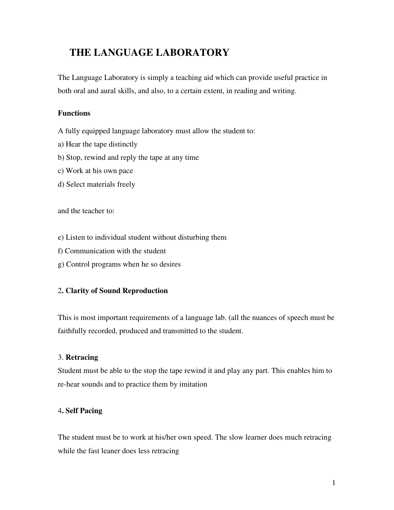# **THE LANGUAGE LABORATORY**

The Language Laboratory is simply a teaching aid which can provide useful practice in both oral and aural skills, and also, to a certain extent, in reading and writing.

# **Functions**

A fully equipped language laboratory must allow the student to:

- a) Hear the tape distinctly
- b) Stop, rewind and reply the tape at any time
- c) Work at his own pace
- d) Select materials freely

and the teacher to:

- e) Listen to individual student without disturbing them
- f) Communication with the student
- g) Control programs when he so desires

# 2**. Clarity of Sound Reproduction**

This is most important requirements of a language lab. (all the nuances of speech must be faithfully recorded, produced and transmitted to the student.

# 3. **Retracing**

Student must be able to the stop the tape rewind it and play any part. This enables him to re-hear sounds and to practice them by imitation

# 4**. Self Pacing**

The student must be to work at his/her own speed. The slow learner does much retracing while the fast leaner does less retracing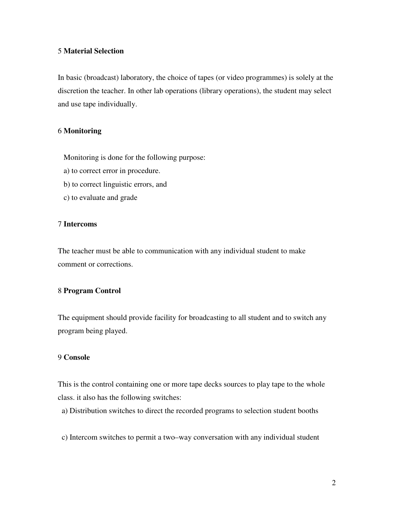## 5 **Material Selection**

In basic (broadcast) laboratory, the choice of tapes (or video programmes) is solely at the discretion the teacher. In other lab operations (library operations), the student may select and use tape individually.

#### 6 **Monitoring**

Monitoring is done for the following purpose:

- a) to correct error in procedure.
- b) to correct linguistic errors, and
- c) to evaluate and grade

### 7 **Intercoms**

The teacher must be able to communication with any individual student to make comment or corrections.

## 8 **Program Control**

The equipment should provide facility for broadcasting to all student and to switch any program being played.

## 9 **Console**

This is the control containing one or more tape decks sources to play tape to the whole class. it also has the following switches:

a) Distribution switches to direct the recorded programs to selection student booths

c) Intercom switches to permit a two–way conversation with any individual student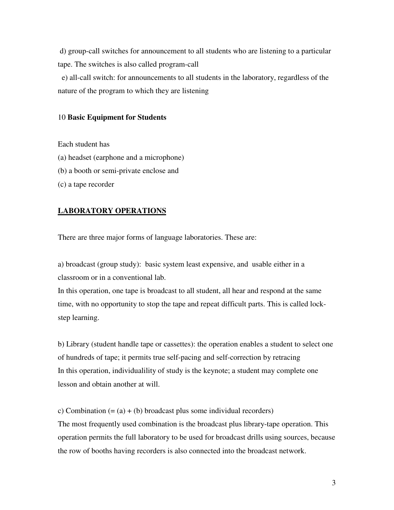d) group-call switches for announcement to all students who are listening to a particular tape. The switches is also called program-call

 e) all-call switch: for announcements to all students in the laboratory, regardless of the nature of the program to which they are listening

#### 10 **Basic Equipment for Students**

Each student has

(a) headset (earphone and a microphone)

(b) a booth or semi-private enclose and

(c) a tape recorder

#### **LABORATORY OPERATIONS**

There are three major forms of language laboratories. These are:

a) broadcast (group study): basic system least expensive, and usable either in a classroom or in a conventional lab.

In this operation, one tape is broadcast to all student, all hear and respond at the same time, with no opportunity to stop the tape and repeat difficult parts. This is called lockstep learning.

b) Library (student handle tape or cassettes): the operation enables a student to select one of hundreds of tape; it permits true self-pacing and self-correction by retracing In this operation, individualility of study is the keynote; a student may complete one lesson and obtain another at will.

c) Combination  $(=(a) + (b)$  broadcast plus some individual recorders) The most frequently used combination is the broadcast plus library-tape operation. This operation permits the full laboratory to be used for broadcast drills using sources, because the row of booths having recorders is also connected into the broadcast network.